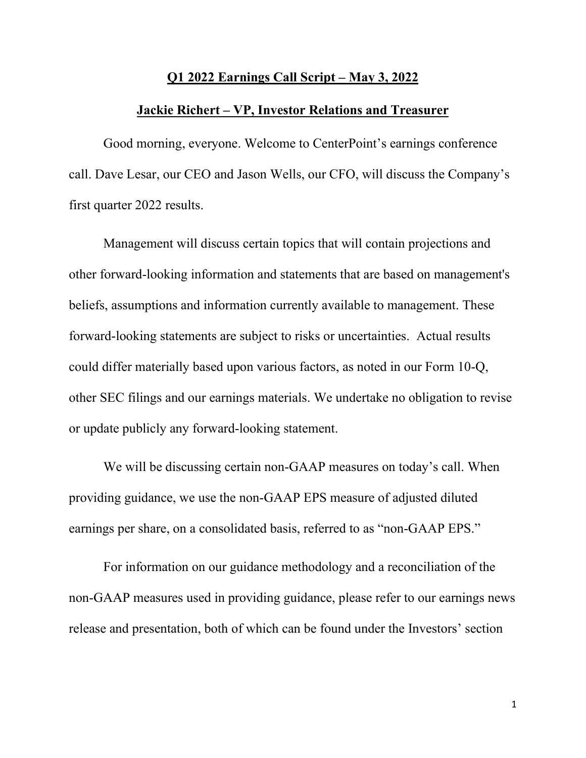#### **Q1 2022 Earnings Call Script – May 3, 2022**

#### **Jackie Richert – VP, Investor Relations and Treasurer**

Good morning, everyone. Welcome to CenterPoint's earnings conference call. Dave Lesar, our CEO and Jason Wells, our CFO, will discuss the Company's first quarter 2022 results.

Management will discuss certain topics that will contain projections and other forward-looking information and statements that are based on management's beliefs, assumptions and information currently available to management. These forward-looking statements are subject to risks or uncertainties. Actual results could differ materially based upon various factors, as noted in our Form 10-Q, other SEC filings and our earnings materials. We undertake no obligation to revise or update publicly any forward‐looking statement.

We will be discussing certain non-GAAP measures on today's call. When providing guidance, we use the non-GAAP EPS measure of adjusted diluted earnings per share, on a consolidated basis, referred to as "non-GAAP EPS."

For information on our guidance methodology and a reconciliation of the non-GAAP measures used in providing guidance, please refer to our earnings news release and presentation, both of which can be found under the Investors' section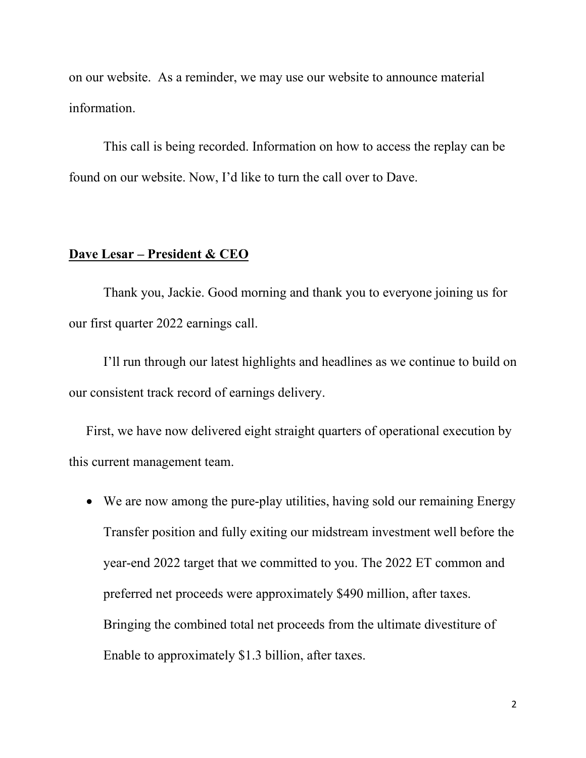on our website. As a reminder, we may use our website to announce material information.

This call is being recorded. Information on how to access the replay can be found on our website. Now, I'd like to turn the call over to Dave.

#### **Dave Lesar – President & CEO**

Thank you, Jackie. Good morning and thank you to everyone joining us for our first quarter 2022 earnings call.

I'll run through our latest highlights and headlines as we continue to build on our consistent track record of earnings delivery.

First, we have now delivered eight straight quarters of operational execution by this current management team.

• We are now among the pure-play utilities, having sold our remaining Energy Transfer position and fully exiting our midstream investment well before the year-end 2022 target that we committed to you. The 2022 ET common and preferred net proceeds were approximately \$490 million, after taxes. Bringing the combined total net proceeds from the ultimate divestiture of Enable to approximately \$1.3 billion, after taxes.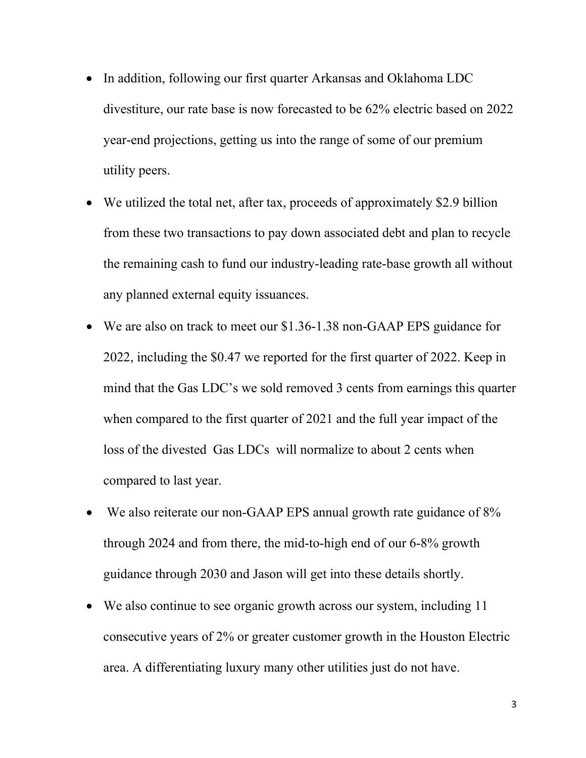- In addition, following our first quarter Arkansas and Oklahoma LDC divestiture, our rate base is now forecasted to be 62% electric based on 2022 year-end projections, getting us into the range of some of our premium utility peers.
- We utilized the total net, after tax, proceeds of approximately \$2.9 billion from these two transactions to pay down associated debt and plan to recycle the remaining cash to fund our industry-leading rate-base growth all without any planned external equity issuances.
- We are also on track to meet our \$1.36-1.38 non-GAAP EPS guidance for 2022, including the \$0.47 we reported for the first quarter of 2022. Keep in mind that the Gas LDC's we sold removed 3 cents from earnings this quarter when compared to the first quarter of 2021 and the full year impact of the loss of the divested Gas LDCs will normalize to about 2 cents when compared to last year.
- We also reiterate our non-GAAP EPS annual growth rate guidance of 8% through 2024 and from there, the mid-to-high end of our 6-8% growth guidance through 2030 and Jason will get into these details shortly.
- We also continue to see organic growth across our system, including 11 consecutive years of 2% or greater customer growth in the Houston Electric area. A differentiating luxury many other utilities just do not have.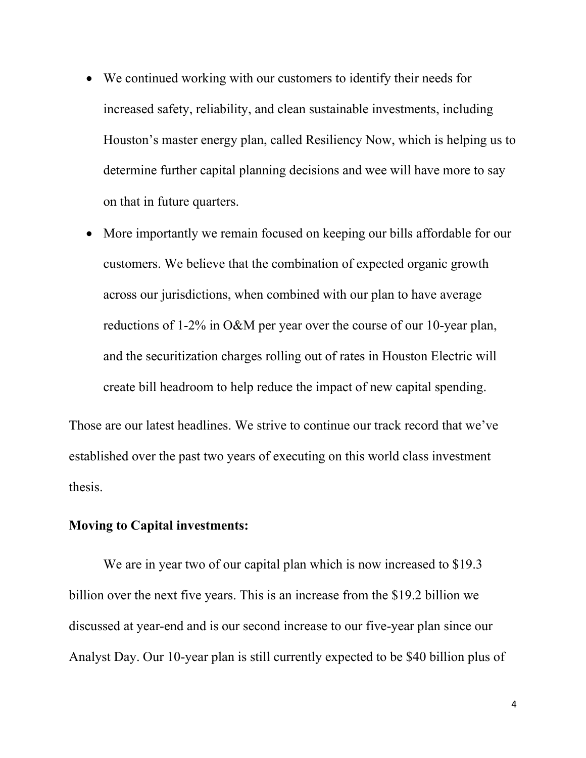- We continued working with our customers to identify their needs for increased safety, reliability, and clean sustainable investments, including Houston's master energy plan, called Resiliency Now, which is helping us to determine further capital planning decisions and wee will have more to say on that in future quarters.
- More importantly we remain focused on keeping our bills affordable for our customers. We believe that the combination of expected organic growth across our jurisdictions, when combined with our plan to have average reductions of 1-2% in O&M per year over the course of our 10-year plan, and the securitization charges rolling out of rates in Houston Electric will create bill headroom to help reduce the impact of new capital spending.

Those are our latest headlines. We strive to continue our track record that we've established over the past two years of executing on this world class investment thesis.

#### **Moving to Capital investments:**

We are in year two of our capital plan which is now increased to \$19.3 billion over the next five years. This is an increase from the \$19.2 billion we discussed at year-end and is our second increase to our five-year plan since our Analyst Day. Our 10-year plan is still currently expected to be \$40 billion plus of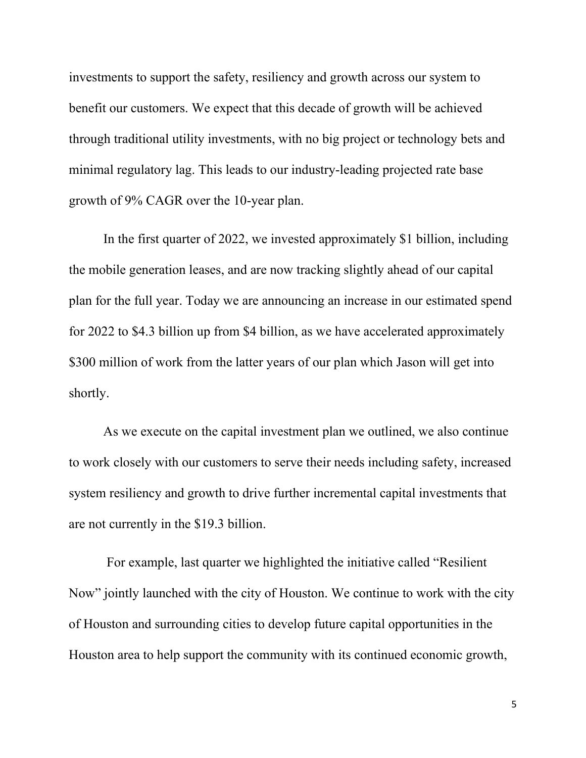investments to support the safety, resiliency and growth across our system to benefit our customers. We expect that this decade of growth will be achieved through traditional utility investments, with no big project or technology bets and minimal regulatory lag. This leads to our industry-leading projected rate base growth of 9% CAGR over the 10-year plan.

In the first quarter of 2022, we invested approximately \$1 billion, including the mobile generation leases, and are now tracking slightly ahead of our capital plan for the full year. Today we are announcing an increase in our estimated spend for 2022 to \$4.3 billion up from \$4 billion, as we have accelerated approximately \$300 million of work from the latter years of our plan which Jason will get into shortly.

As we execute on the capital investment plan we outlined, we also continue to work closely with our customers to serve their needs including safety, increased system resiliency and growth to drive further incremental capital investments that are not currently in the \$19.3 billion.

For example, last quarter we highlighted the initiative called "Resilient Now" jointly launched with the city of Houston. We continue to work with the city of Houston and surrounding cities to develop future capital opportunities in the Houston area to help support the community with its continued economic growth,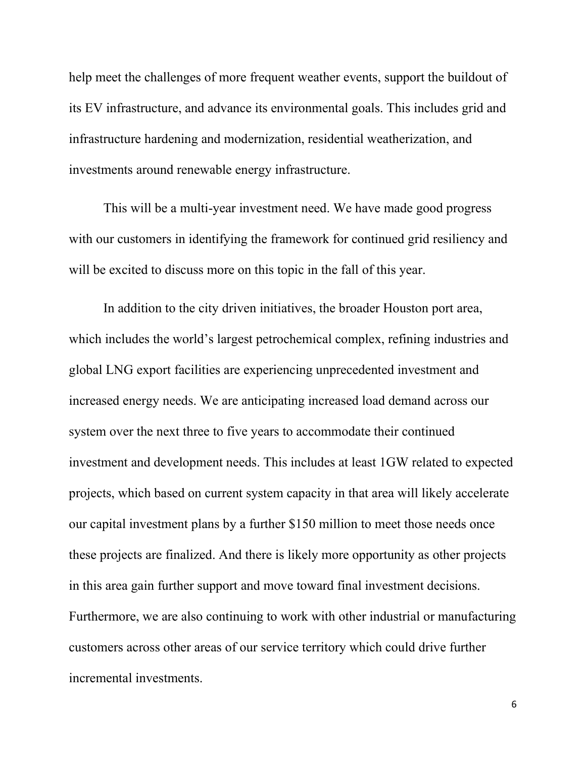help meet the challenges of more frequent weather events, support the buildout of its EV infrastructure, and advance its environmental goals. This includes grid and infrastructure hardening and modernization, residential weatherization, and investments around renewable energy infrastructure.

This will be a multi-year investment need. We have made good progress with our customers in identifying the framework for continued grid resiliency and will be excited to discuss more on this topic in the fall of this year.

In addition to the city driven initiatives, the broader Houston port area, which includes the world's largest petrochemical complex, refining industries and global LNG export facilities are experiencing unprecedented investment and increased energy needs. We are anticipating increased load demand across our system over the next three to five years to accommodate their continued investment and development needs. This includes at least 1GW related to expected projects, which based on current system capacity in that area will likely accelerate our capital investment plans by a further \$150 million to meet those needs once these projects are finalized. And there is likely more opportunity as other projects in this area gain further support and move toward final investment decisions. Furthermore, we are also continuing to work with other industrial or manufacturing customers across other areas of our service territory which could drive further incremental investments.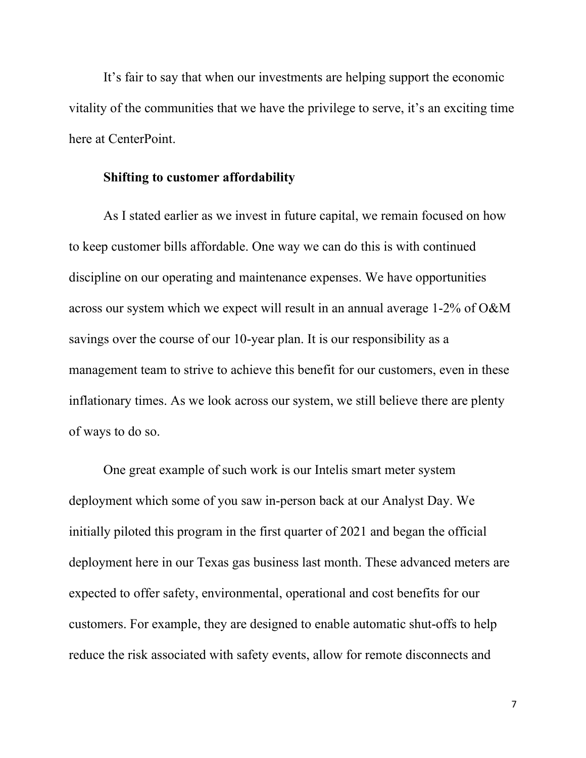It's fair to say that when our investments are helping support the economic vitality of the communities that we have the privilege to serve, it's an exciting time here at CenterPoint.

#### **Shifting to customer affordability**

As I stated earlier as we invest in future capital, we remain focused on how to keep customer bills affordable. One way we can do this is with continued discipline on our operating and maintenance expenses. We have opportunities across our system which we expect will result in an annual average 1-2% of O&M savings over the course of our 10-year plan. It is our responsibility as a management team to strive to achieve this benefit for our customers, even in these inflationary times. As we look across our system, we still believe there are plenty of ways to do so.

One great example of such work is our Intelis smart meter system deployment which some of you saw in-person back at our Analyst Day. We initially piloted this program in the first quarter of 2021 and began the official deployment here in our Texas gas business last month. These advanced meters are expected to offer safety, environmental, operational and cost benefits for our customers. For example, they are designed to enable automatic shut-offs to help reduce the risk associated with safety events, allow for remote disconnects and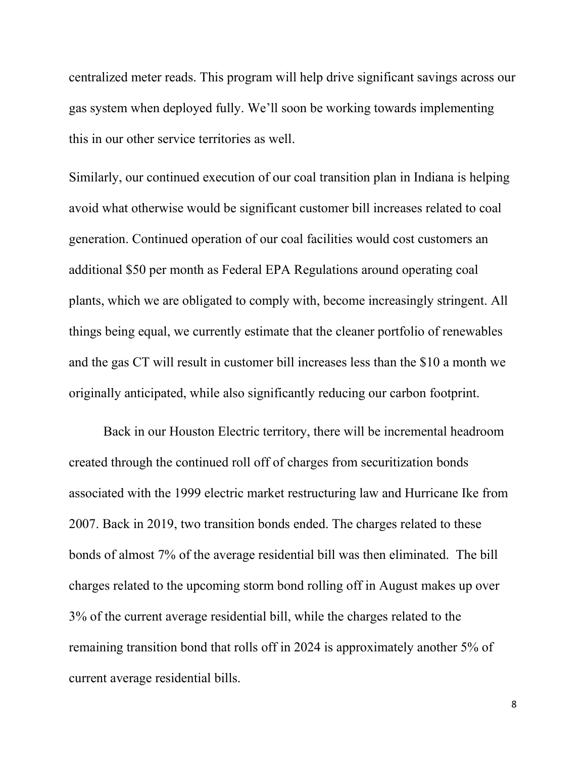centralized meter reads. This program will help drive significant savings across our gas system when deployed fully. We'll soon be working towards implementing this in our other service territories as well.

Similarly, our continued execution of our coal transition plan in Indiana is helping avoid what otherwise would be significant customer bill increases related to coal generation. Continued operation of our coal facilities would cost customers an additional \$50 per month as Federal EPA Regulations around operating coal plants, which we are obligated to comply with, become increasingly stringent. All things being equal, we currently estimate that the cleaner portfolio of renewables and the gas CT will result in customer bill increases less than the \$10 a month we originally anticipated, while also significantly reducing our carbon footprint.

Back in our Houston Electric territory, there will be incremental headroom created through the continued roll off of charges from securitization bonds associated with the 1999 electric market restructuring law and Hurricane Ike from 2007. Back in 2019, two transition bonds ended. The charges related to these bonds of almost 7% of the average residential bill was then eliminated. The bill charges related to the upcoming storm bond rolling off in August makes up over 3% of the current average residential bill, while the charges related to the remaining transition bond that rolls off in 2024 is approximately another 5% of current average residential bills.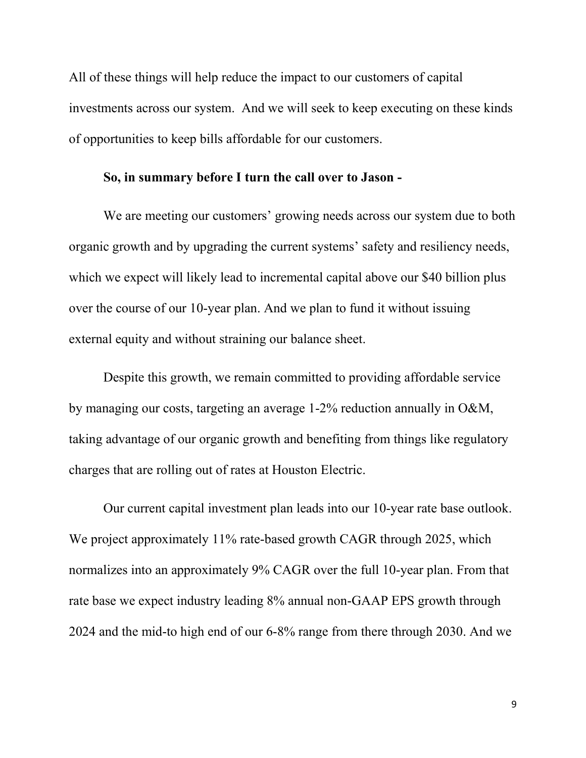All of these things will help reduce the impact to our customers of capital investments across our system. And we will seek to keep executing on these kinds of opportunities to keep bills affordable for our customers.

#### **So, in summary before I turn the call over to Jason -**

We are meeting our customers' growing needs across our system due to both organic growth and by upgrading the current systems' safety and resiliency needs, which we expect will likely lead to incremental capital above our \$40 billion plus over the course of our 10-year plan. And we plan to fund it without issuing external equity and without straining our balance sheet.

Despite this growth, we remain committed to providing affordable service by managing our costs, targeting an average 1-2% reduction annually in O&M, taking advantage of our organic growth and benefiting from things like regulatory charges that are rolling out of rates at Houston Electric.

Our current capital investment plan leads into our 10-year rate base outlook. We project approximately 11% rate-based growth CAGR through 2025, which normalizes into an approximately 9% CAGR over the full 10-year plan. From that rate base we expect industry leading 8% annual non-GAAP EPS growth through 2024 and the mid-to high end of our 6-8% range from there through 2030. And we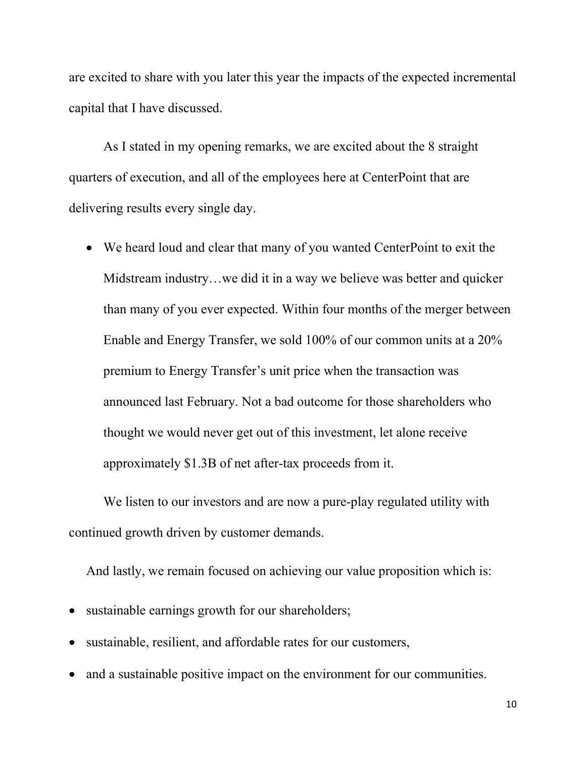are excited to share with you later this year the impacts of the expected incremental capital that I have discussed.

As I stated in my opening remarks, we are excited about the 8 straight quarters of execution, and all of the employees here at CenterPoint that are delivering results every single day.

• We heard loud and clear that many of you wanted CenterPoint to exit the Midstream industry…we did it in a way we believe was better and quicker than many of you ever expected. Within four months of the merger between Enable and Energy Transfer, we sold 100% of our common units at a 20% premium to Energy Transfer's unit price when the transaction was announced last February. Not a bad outcome for those shareholders who thought we would never get out of this investment, let alone receive approximately \$1.3B of net after-tax proceeds from it.

We listen to our investors and are now a pure-play regulated utility with continued growth driven by customer demands.

And lastly, we remain focused on achieving our value proposition which is:

- sustainable earnings growth for our shareholders;
- sustainable, resilient, and affordable rates for our customers,
- and a sustainable positive impact on the environment for our communities.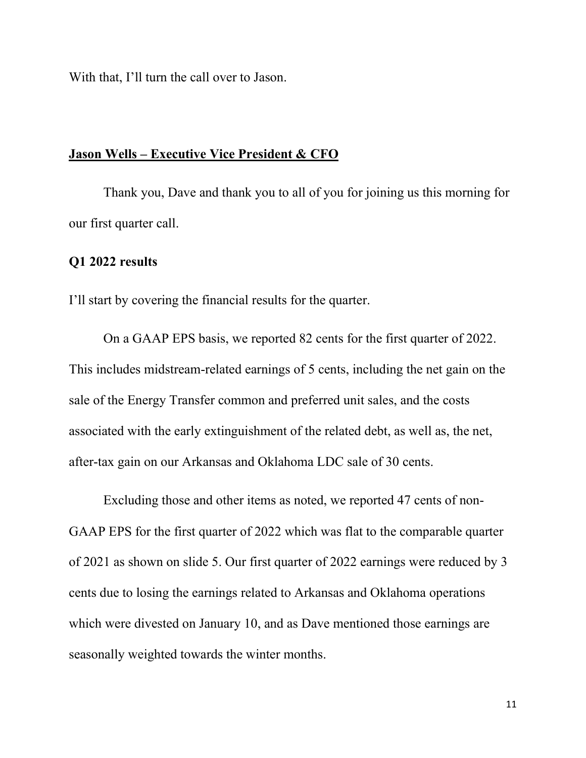With that, I'll turn the call over to Jason.

#### **Jason Wells – Executive Vice President & CFO**

Thank you, Dave and thank you to all of you for joining us this morning for our first quarter call.

#### **Q1 2022 results**

I'll start by covering the financial results for the quarter.

On a GAAP EPS basis, we reported 82 cents for the first quarter of 2022. This includes midstream-related earnings of 5 cents, including the net gain on the sale of the Energy Transfer common and preferred unit sales, and the costs associated with the early extinguishment of the related debt, as well as, the net, after-tax gain on our Arkansas and Oklahoma LDC sale of 30 cents.

Excluding those and other items as noted, we reported 47 cents of non-GAAP EPS for the first quarter of 2022 which was flat to the comparable quarter of 2021 as shown on slide 5. Our first quarter of 2022 earnings were reduced by 3 cents due to losing the earnings related to Arkansas and Oklahoma operations which were divested on January 10, and as Dave mentioned those earnings are seasonally weighted towards the winter months.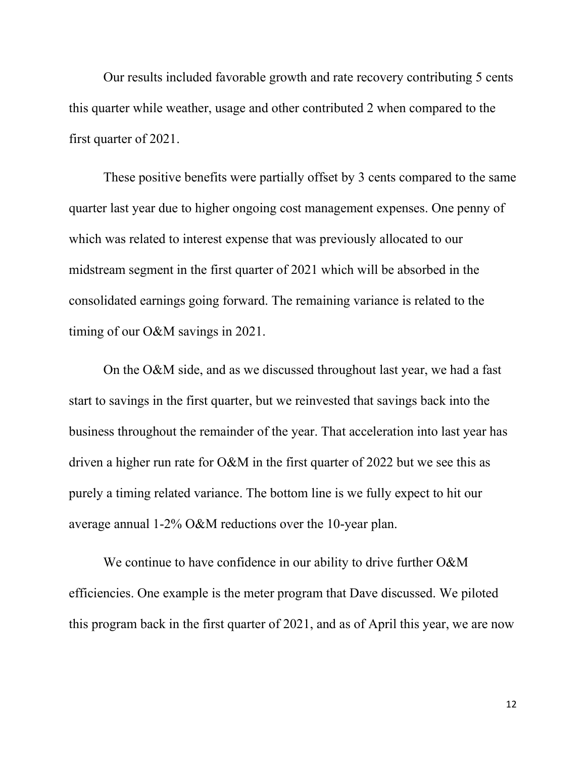Our results included favorable growth and rate recovery contributing 5 cents this quarter while weather, usage and other contributed 2 when compared to the first quarter of 2021.

These positive benefits were partially offset by 3 cents compared to the same quarter last year due to higher ongoing cost management expenses. One penny of which was related to interest expense that was previously allocated to our midstream segment in the first quarter of 2021 which will be absorbed in the consolidated earnings going forward. The remaining variance is related to the timing of our O&M savings in 2021.

On the O&M side, and as we discussed throughout last year, we had a fast start to savings in the first quarter, but we reinvested that savings back into the business throughout the remainder of the year. That acceleration into last year has driven a higher run rate for O&M in the first quarter of 2022 but we see this as purely a timing related variance. The bottom line is we fully expect to hit our average annual 1-2% O&M reductions over the 10-year plan.

We continue to have confidence in our ability to drive further O&M efficiencies. One example is the meter program that Dave discussed. We piloted this program back in the first quarter of 2021, and as of April this year, we are now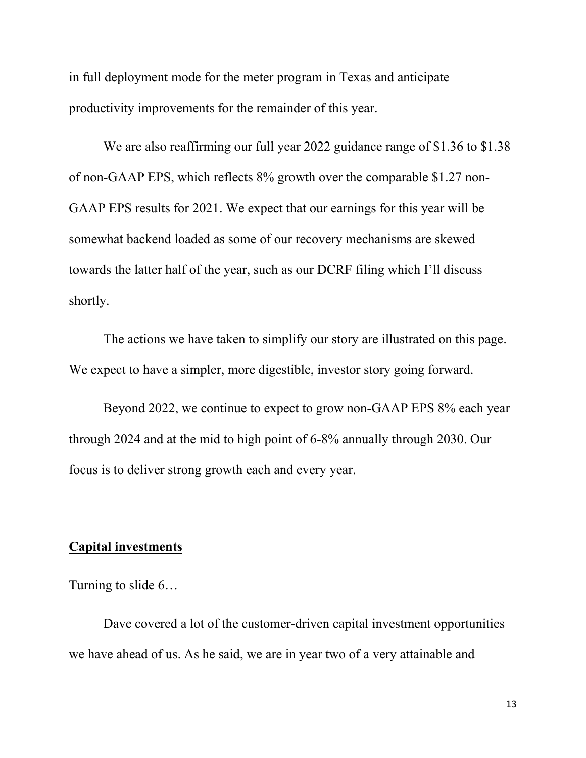in full deployment mode for the meter program in Texas and anticipate productivity improvements for the remainder of this year.

We are also reaffirming our full year 2022 guidance range of \$1.36 to \$1.38 of non-GAAP EPS, which reflects 8% growth over the comparable \$1.27 non-GAAP EPS results for 2021. We expect that our earnings for this year will be somewhat backend loaded as some of our recovery mechanisms are skewed towards the latter half of the year, such as our DCRF filing which I'll discuss shortly.

The actions we have taken to simplify our story are illustrated on this page. We expect to have a simpler, more digestible, investor story going forward.

Beyond 2022, we continue to expect to grow non-GAAP EPS 8% each year through 2024 and at the mid to high point of 6-8% annually through 2030. Our focus is to deliver strong growth each and every year.

#### **Capital investments**

Turning to slide 6…

Dave covered a lot of the customer-driven capital investment opportunities we have ahead of us. As he said, we are in year two of a very attainable and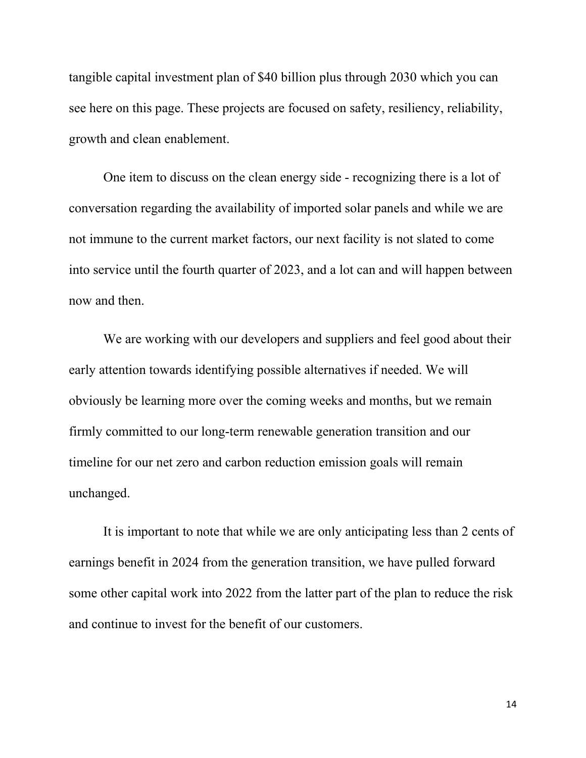tangible capital investment plan of \$40 billion plus through 2030 which you can see here on this page. These projects are focused on safety, resiliency, reliability, growth and clean enablement.

One item to discuss on the clean energy side - recognizing there is a lot of conversation regarding the availability of imported solar panels and while we are not immune to the current market factors, our next facility is not slated to come into service until the fourth quarter of 2023, and a lot can and will happen between now and then.

We are working with our developers and suppliers and feel good about their early attention towards identifying possible alternatives if needed. We will obviously be learning more over the coming weeks and months, but we remain firmly committed to our long-term renewable generation transition and our timeline for our net zero and carbon reduction emission goals will remain unchanged.

It is important to note that while we are only anticipating less than 2 cents of earnings benefit in 2024 from the generation transition, we have pulled forward some other capital work into 2022 from the latter part of the plan to reduce the risk and continue to invest for the benefit of our customers.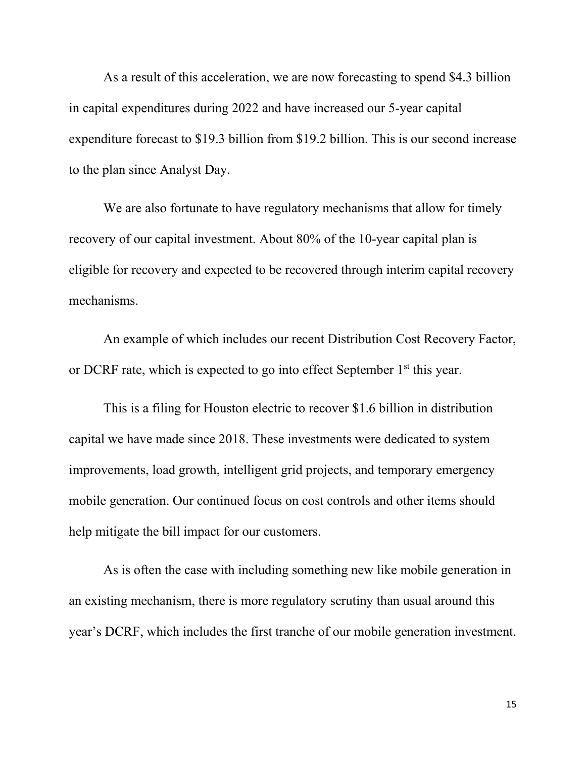As a result of this acceleration, we are now forecasting to spend \$4.3 billion in capital expenditures during 2022 and have increased our 5-year capital expenditure forecast to \$19.3 billion from \$19.2 billion. This is our second increase to the plan since Analyst Day.

We are also fortunate to have regulatory mechanisms that allow for timely recovery of our capital investment. About 80% of the 10-year capital plan is eligible for recovery and expected to be recovered through interim capital recovery mechanisms.

An example of which includes our recent Distribution Cost Recovery Factor, or DCRF rate, which is expected to go into effect September  $1<sup>st</sup>$  this year.

This is a filing for Houston electric to recover \$1.6 billion in distribution capital we have made since 2018. These investments were dedicated to system improvements, load growth, intelligent grid projects, and temporary emergency mobile generation. Our continued focus on cost controls and other items should help mitigate the bill impact for our customers.

As is often the case with including something new like mobile generation in an existing mechanism, there is more regulatory scrutiny than usual around this year's DCRF, which includes the first tranche of our mobile generation investment.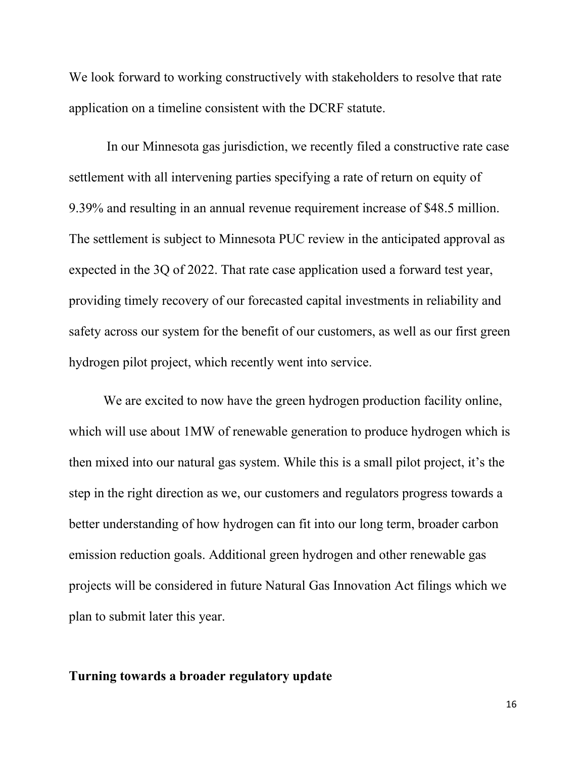We look forward to working constructively with stakeholders to resolve that rate application on a timeline consistent with the DCRF statute.

In our Minnesota gas jurisdiction, we recently filed a constructive rate case settlement with all intervening parties specifying a rate of return on equity of 9.39% and resulting in an annual revenue requirement increase of \$48.5 million. The settlement is subject to Minnesota PUC review in the anticipated approval as expected in the 3Q of 2022. That rate case application used a forward test year, providing timely recovery of our forecasted capital investments in reliability and safety across our system for the benefit of our customers, as well as our first green hydrogen pilot project, which recently went into service.

We are excited to now have the green hydrogen production facility online, which will use about 1MW of renewable generation to produce hydrogen which is then mixed into our natural gas system. While this is a small pilot project, it's the step in the right direction as we, our customers and regulators progress towards a better understanding of how hydrogen can fit into our long term, broader carbon emission reduction goals. Additional green hydrogen and other renewable gas projects will be considered in future Natural Gas Innovation Act filings which we plan to submit later this year.

#### **Turning towards a broader regulatory update**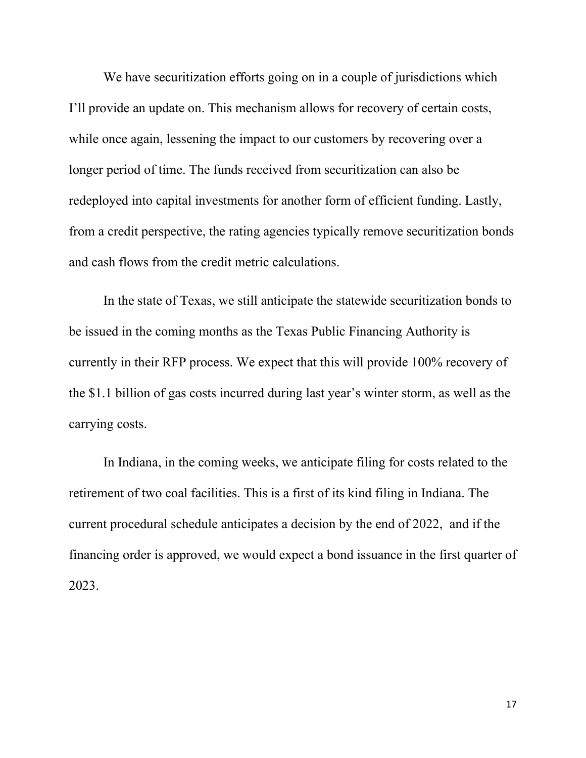We have securitization efforts going on in a couple of jurisdictions which I'll provide an update on. This mechanism allows for recovery of certain costs, while once again, lessening the impact to our customers by recovering over a longer period of time. The funds received from securitization can also be redeployed into capital investments for another form of efficient funding. Lastly, from a credit perspective, the rating agencies typically remove securitization bonds and cash flows from the credit metric calculations.

In the state of Texas, we still anticipate the statewide securitization bonds to be issued in the coming months as the Texas Public Financing Authority is currently in their RFP process. We expect that this will provide 100% recovery of the \$1.1 billion of gas costs incurred during last year's winter storm, as well as the carrying costs.

In Indiana, in the coming weeks, we anticipate filing for costs related to the retirement of two coal facilities. This is a first of its kind filing in Indiana. The current procedural schedule anticipates a decision by the end of 2022, and if the financing order is approved, we would expect a bond issuance in the first quarter of 2023.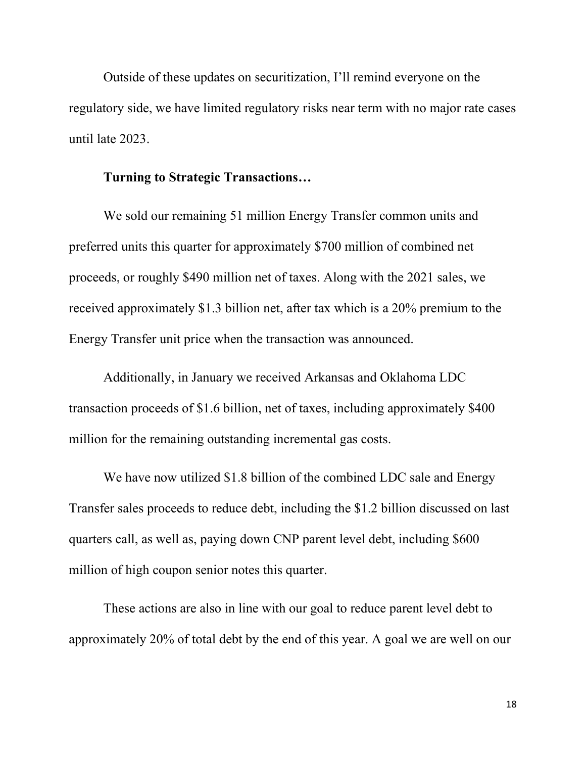Outside of these updates on securitization, I'll remind everyone on the regulatory side, we have limited regulatory risks near term with no major rate cases until late 2023.

#### **Turning to Strategic Transactions…**

We sold our remaining 51 million Energy Transfer common units and preferred units this quarter for approximately \$700 million of combined net proceeds, or roughly \$490 million net of taxes. Along with the 2021 sales, we received approximately \$1.3 billion net, after tax which is a 20% premium to the Energy Transfer unit price when the transaction was announced.

Additionally, in January we received Arkansas and Oklahoma LDC transaction proceeds of \$1.6 billion, net of taxes, including approximately \$400 million for the remaining outstanding incremental gas costs.

We have now utilized \$1.8 billion of the combined LDC sale and Energy Transfer sales proceeds to reduce debt, including the \$1.2 billion discussed on last quarters call, as well as, paying down CNP parent level debt, including \$600 million of high coupon senior notes this quarter.

These actions are also in line with our goal to reduce parent level debt to approximately 20% of total debt by the end of this year. A goal we are well on our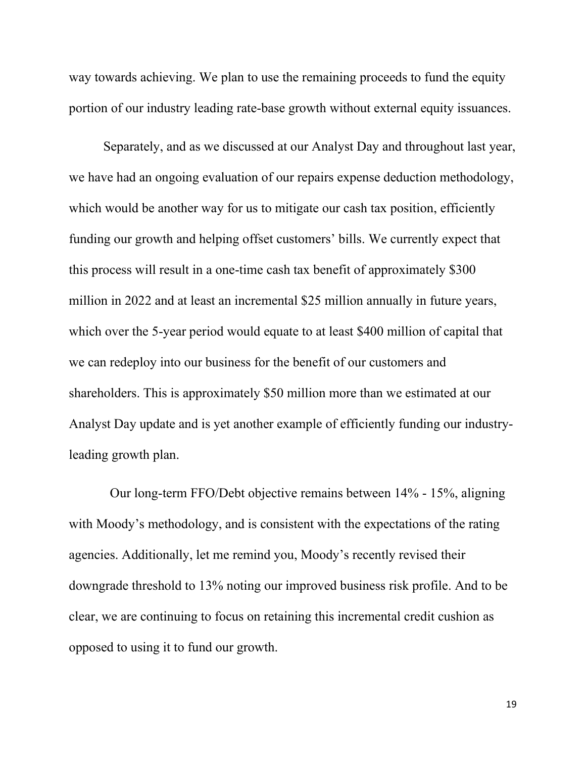way towards achieving. We plan to use the remaining proceeds to fund the equity portion of our industry leading rate-base growth without external equity issuances.

Separately, and as we discussed at our Analyst Day and throughout last year, we have had an ongoing evaluation of our repairs expense deduction methodology, which would be another way for us to mitigate our cash tax position, efficiently funding our growth and helping offset customers' bills. We currently expect that this process will result in a one-time cash tax benefit of approximately \$300 million in 2022 and at least an incremental \$25 million annually in future years, which over the 5-year period would equate to at least \$400 million of capital that we can redeploy into our business for the benefit of our customers and shareholders. This is approximately \$50 million more than we estimated at our Analyst Day update and is yet another example of efficiently funding our industryleading growth plan.

Our long-term FFO/Debt objective remains between 14% - 15%, aligning with Moody's methodology, and is consistent with the expectations of the rating agencies. Additionally, let me remind you, Moody's recently revised their downgrade threshold to 13% noting our improved business risk profile. And to be clear, we are continuing to focus on retaining this incremental credit cushion as opposed to using it to fund our growth.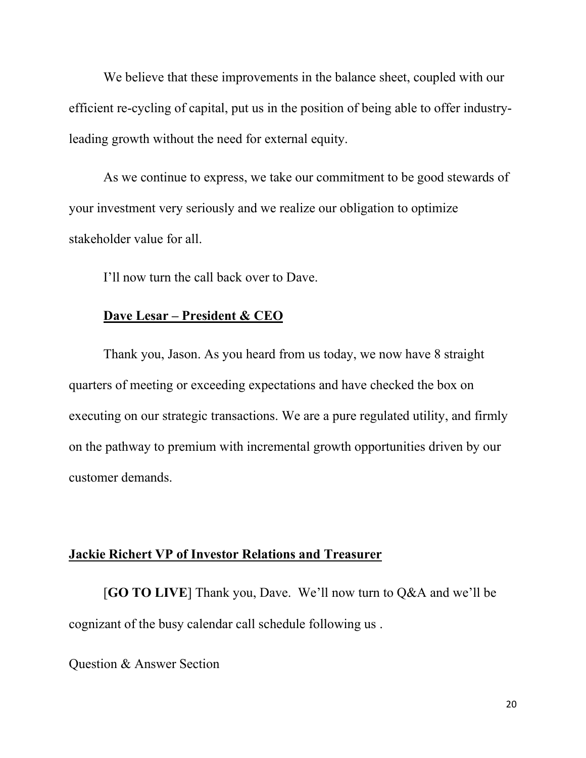We believe that these improvements in the balance sheet, coupled with our efficient re-cycling of capital, put us in the position of being able to offer industryleading growth without the need for external equity.

As we continue to express, we take our commitment to be good stewards of your investment very seriously and we realize our obligation to optimize stakeholder value for all.

I'll now turn the call back over to Dave.

#### **Dave Lesar – President & CEO**

Thank you, Jason. As you heard from us today, we now have 8 straight quarters of meeting or exceeding expectations and have checked the box on executing on our strategic transactions. We are a pure regulated utility, and firmly on the pathway to premium with incremental growth opportunities driven by our customer demands.

#### **Jackie Richert VP of Investor Relations and Treasurer**

[**GO TO LIVE**] Thank you, Dave. We'll now turn to Q&A and we'll be cognizant of the busy calendar call schedule following us .

Question & Answer Section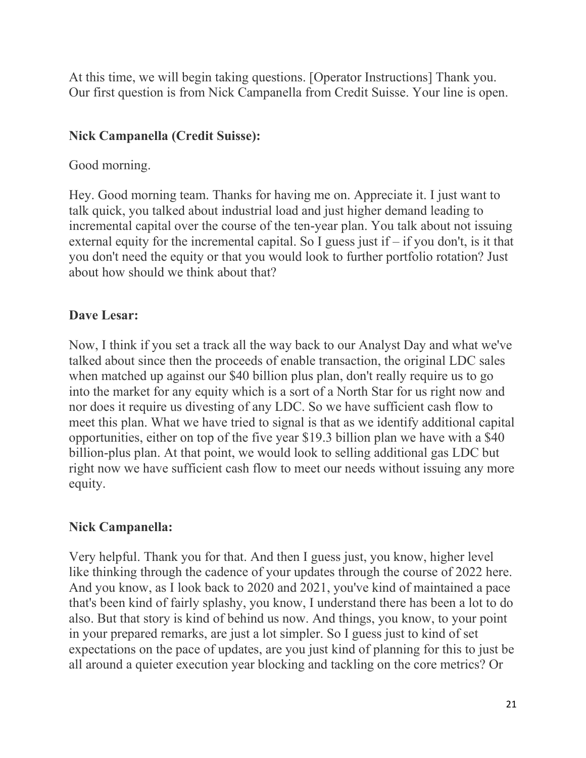At this time, we will begin taking questions. [Operator Instructions] Thank you. Our first question is from Nick Campanella from Credit Suisse. Your line is open.

### **Nick Campanella (Credit Suisse):**

Good morning.

Hey. Good morning team. Thanks for having me on. Appreciate it. I just want to talk quick, you talked about industrial load and just higher demand leading to incremental capital over the course of the ten-year plan. You talk about not issuing external equity for the incremental capital. So I guess just if  $-$  if you don't, is it that you don't need the equity or that you would look to further portfolio rotation? Just about how should we think about that?

# **Dave Lesar:**

Now, I think if you set a track all the way back to our Analyst Day and what we've talked about since then the proceeds of enable transaction, the original LDC sales when matched up against our \$40 billion plus plan, don't really require us to go into the market for any equity which is a sort of a North Star for us right now and nor does it require us divesting of any LDC. So we have sufficient cash flow to meet this plan. What we have tried to signal is that as we identify additional capital opportunities, either on top of the five year \$19.3 billion plan we have with a \$40 billion-plus plan. At that point, we would look to selling additional gas LDC but right now we have sufficient cash flow to meet our needs without issuing any more equity.

# **Nick Campanella:**

Very helpful. Thank you for that. And then I guess just, you know, higher level like thinking through the cadence of your updates through the course of 2022 here. And you know, as I look back to 2020 and 2021, you've kind of maintained a pace that's been kind of fairly splashy, you know, I understand there has been a lot to do also. But that story is kind of behind us now. And things, you know, to your point in your prepared remarks, are just a lot simpler. So I guess just to kind of set expectations on the pace of updates, are you just kind of planning for this to just be all around a quieter execution year blocking and tackling on the core metrics? Or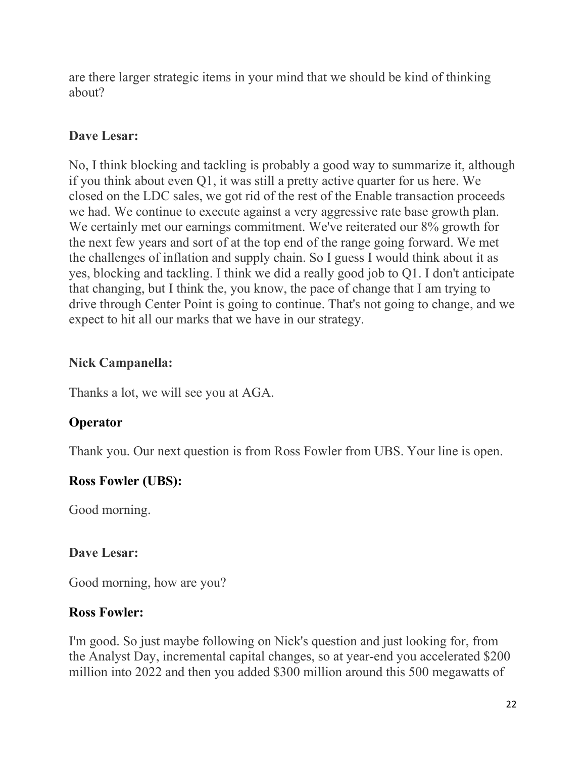are there larger strategic items in your mind that we should be kind of thinking about?

## **Dave Lesar:**

No, I think blocking and tackling is probably a good way to summarize it, although if you think about even Q1, it was still a pretty active quarter for us here. We closed on the LDC sales, we got rid of the rest of the Enable transaction proceeds we had. We continue to execute against a very aggressive rate base growth plan. We certainly met our earnings commitment. We've reiterated our 8% growth for the next few years and sort of at the top end of the range going forward. We met the challenges of inflation and supply chain. So I guess I would think about it as yes, blocking and tackling. I think we did a really good job to Q1. I don't anticipate that changing, but I think the, you know, the pace of change that I am trying to drive through Center Point is going to continue. That's not going to change, and we expect to hit all our marks that we have in our strategy.

## **Nick Campanella:**

Thanks a lot, we will see you at AGA.

# **Operator**

Thank you. Our next question is from Ross Fowler from UBS. Your line is open.

### **Ross Fowler (UBS):**

Good morning.

### **Dave Lesar:**

Good morning, how are you?

### **Ross Fowler:**

I'm good. So just maybe following on Nick's question and just looking for, from the Analyst Day, incremental capital changes, so at year-end you accelerated \$200 million into 2022 and then you added \$300 million around this 500 megawatts of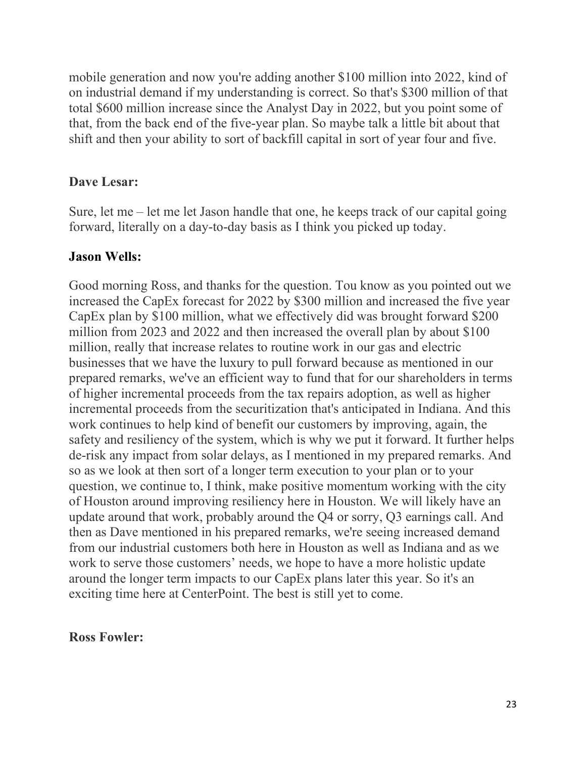mobile generation and now you're adding another \$100 million into 2022, kind of on industrial demand if my understanding is correct. So that's \$300 million of that total \$600 million increase since the Analyst Day in 2022, but you point some of that, from the back end of the five-year plan. So maybe talk a little bit about that shift and then your ability to sort of backfill capital in sort of year four and five.

#### **Dave Lesar:**

Sure, let me – let me let Jason handle that one, he keeps track of our capital going forward, literally on a day-to-day basis as I think you picked up today.

#### **Jason Wells:**

Good morning Ross, and thanks for the question. Tou know as you pointed out we increased the CapEx forecast for 2022 by \$300 million and increased the five year CapEx plan by \$100 million, what we effectively did was brought forward \$200 million from 2023 and 2022 and then increased the overall plan by about \$100 million, really that increase relates to routine work in our gas and electric businesses that we have the luxury to pull forward because as mentioned in our prepared remarks, we've an efficient way to fund that for our shareholders in terms of higher incremental proceeds from the tax repairs adoption, as well as higher incremental proceeds from the securitization that's anticipated in Indiana. And this work continues to help kind of benefit our customers by improving, again, the safety and resiliency of the system, which is why we put it forward. It further helps de-risk any impact from solar delays, as I mentioned in my prepared remarks. And so as we look at then sort of a longer term execution to your plan or to your question, we continue to, I think, make positive momentum working with the city of Houston around improving resiliency here in Houston. We will likely have an update around that work, probably around the Q4 or sorry, Q3 earnings call. And then as Dave mentioned in his prepared remarks, we're seeing increased demand from our industrial customers both here in Houston as well as Indiana and as we work to serve those customers' needs, we hope to have a more holistic update around the longer term impacts to our CapEx plans later this year. So it's an exciting time here at CenterPoint. The best is still yet to come.

#### **Ross Fowler:**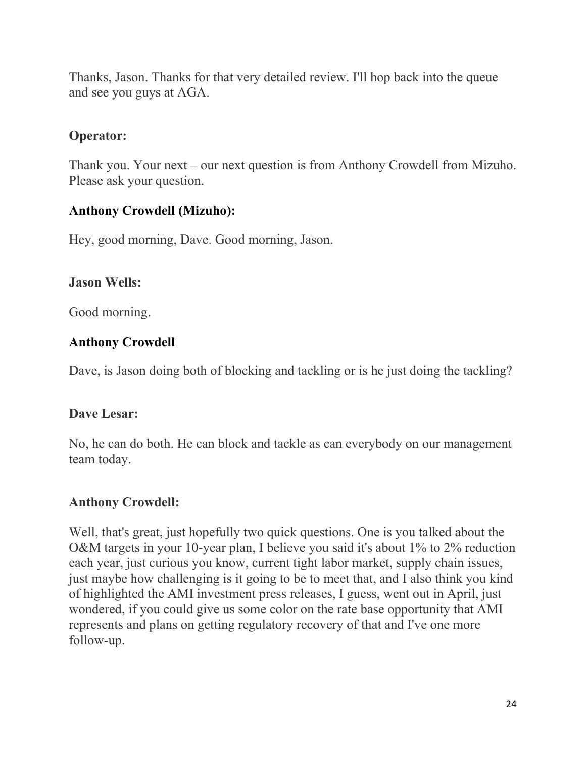Thanks, Jason. Thanks for that very detailed review. I'll hop back into the queue and see you guys at AGA.

## **Operator:**

Thank you. Your next – our next question is from Anthony Crowdell from Mizuho. Please ask your question.

### **Anthony Crowdell (Mizuho):**

Hey, good morning, Dave. Good morning, Jason.

### **Jason Wells:**

Good morning.

# **Anthony Crowdell**

Dave, is Jason doing both of blocking and tackling or is he just doing the tackling?

### **Dave Lesar:**

No, he can do both. He can block and tackle as can everybody on our management team today.

# **Anthony Crowdell:**

Well, that's great, just hopefully two quick questions. One is you talked about the O&M targets in your 10-year plan, I believe you said it's about 1% to 2% reduction each year, just curious you know, current tight labor market, supply chain issues, just maybe how challenging is it going to be to meet that, and I also think you kind of highlighted the AMI investment press releases, I guess, went out in April, just wondered, if you could give us some color on the rate base opportunity that AMI represents and plans on getting regulatory recovery of that and I've one more follow-up.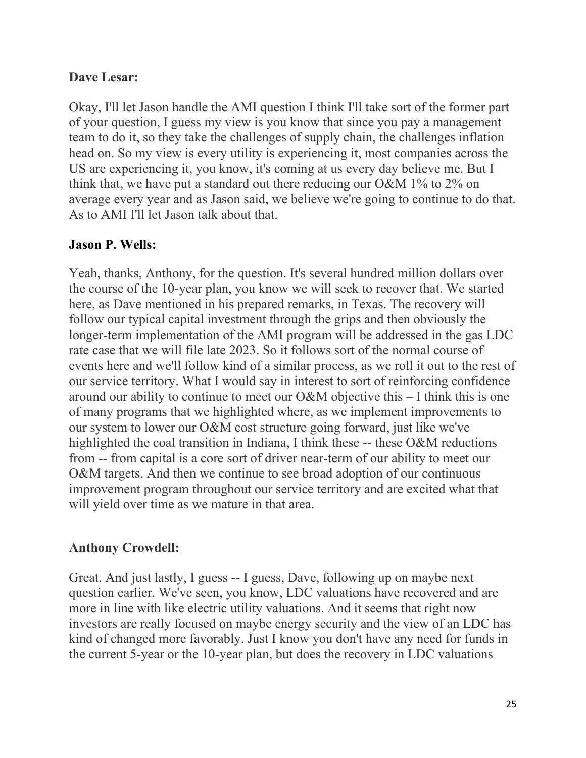### **Dave Lesar:**

Okay, I'll let Jason handle the AMI question I think I'll take sort of the former part of your question, I guess my view is you know that since you pay a management team to do it, so they take the challenges of supply chain, the challenges inflation head on. So my view is every utility is experiencing it, most companies across the US are experiencing it, you know, it's coming at us every day believe me. But I think that, we have put a standard out there reducing our O&M 1% to 2% on average every year and as Jason said, we believe we're going to continue to do that. As to AMI I'll let Jason talk about that.

#### **Jason P. Wells:**

Yeah, thanks, Anthony, for the question. It's several hundred million dollars over the course of the 10-year plan, you know we will seek to recover that. We started here, as Dave mentioned in his prepared remarks, in Texas. The recovery will follow our typical capital investment through the grips and then obviously the longer-term implementation of the AMI program will be addressed in the gas LDC rate case that we will file late 2023. So it follows sort of the normal course of events here and we'll follow kind of a similar process, as we roll it out to the rest of our service territory. What I would say in interest to sort of reinforcing confidence around our ability to continue to meet our  $O\&M$  objective this  $-I$  think this is one of many programs that we highlighted where, as we implement improvements to our system to lower our O&M cost structure going forward, just like we've highlighted the coal transition in Indiana, I think these -- these O&M reductions from -- from capital is a core sort of driver near-term of our ability to meet our O&M targets. And then we continue to see broad adoption of our continuous improvement program throughout our service territory and are excited what that will yield over time as we mature in that area.

#### **Anthony Crowdell:**

Great. And just lastly, I guess -- I guess, Dave, following up on maybe next question earlier. We've seen, you know, LDC valuations have recovered and are more in line with like electric utility valuations. And it seems that right now investors are really focused on maybe energy security and the view of an LDC has kind of changed more favorably. Just I know you don't have any need for funds in the current 5-year or the 10-year plan, but does the recovery in LDC valuations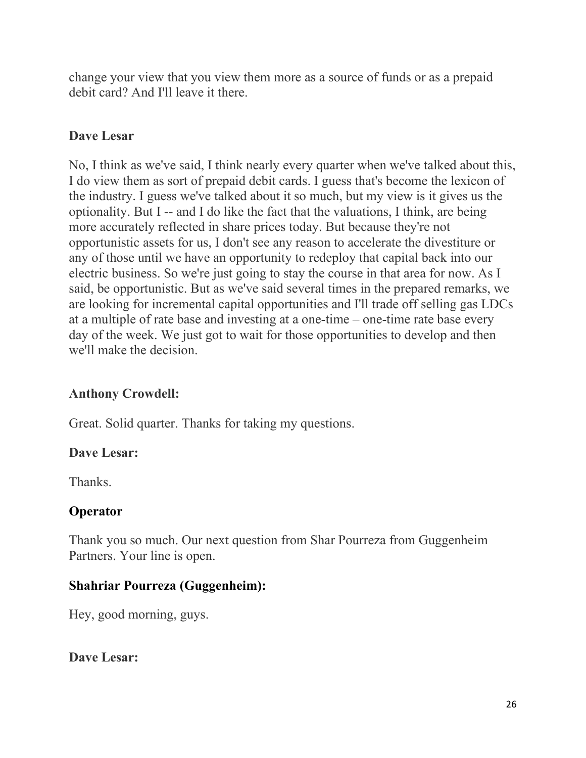change your view that you view them more as a source of funds or as a prepaid debit card? And I'll leave it there.

### **Dave Lesar**

No, I think as we've said, I think nearly every quarter when we've talked about this, I do view them as sort of prepaid debit cards. I guess that's become the lexicon of the industry. I guess we've talked about it so much, but my view is it gives us the optionality. But I -- and I do like the fact that the valuations, I think, are being more accurately reflected in share prices today. But because they're not opportunistic assets for us, I don't see any reason to accelerate the divestiture or any of those until we have an opportunity to redeploy that capital back into our electric business. So we're just going to stay the course in that area for now. As I said, be opportunistic. But as we've said several times in the prepared remarks, we are looking for incremental capital opportunities and I'll trade off selling gas LDCs at a multiple of rate base and investing at a one-time – one-time rate base every day of the week. We just got to wait for those opportunities to develop and then we'll make the decision.

### **Anthony Crowdell:**

Great. Solid quarter. Thanks for taking my questions.

### **Dave Lesar:**

Thanks.

### **Operator**

Thank you so much. Our next question from Shar Pourreza from Guggenheim Partners. Your line is open.

### **Shahriar Pourreza (Guggenheim):**

Hey, good morning, guys.

**Dave Lesar:**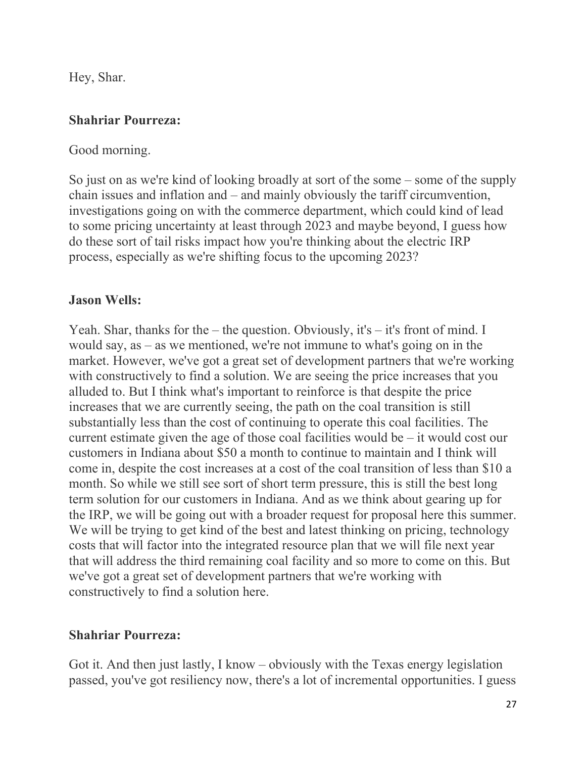Hey, Shar.

### **Shahriar Pourreza:**

#### Good morning.

So just on as we're kind of looking broadly at sort of the some – some of the supply chain issues and inflation and – and mainly obviously the tariff circumvention, investigations going on with the commerce department, which could kind of lead to some pricing uncertainty at least through 2023 and maybe beyond, I guess how do these sort of tail risks impact how you're thinking about the electric IRP process, especially as we're shifting focus to the upcoming 2023?

#### **Jason Wells:**

Yeah. Shar, thanks for the – the question. Obviously, it's – it's front of mind. I would say, as – as we mentioned, we're not immune to what's going on in the market. However, we've got a great set of development partners that we're working with constructively to find a solution. We are seeing the price increases that you alluded to. But I think what's important to reinforce is that despite the price increases that we are currently seeing, the path on the coal transition is still substantially less than the cost of continuing to operate this coal facilities. The current estimate given the age of those coal facilities would be – it would cost our customers in Indiana about \$50 a month to continue to maintain and I think will come in, despite the cost increases at a cost of the coal transition of less than \$10 a month. So while we still see sort of short term pressure, this is still the best long term solution for our customers in Indiana. And as we think about gearing up for the IRP, we will be going out with a broader request for proposal here this summer. We will be trying to get kind of the best and latest thinking on pricing, technology costs that will factor into the integrated resource plan that we will file next year that will address the third remaining coal facility and so more to come on this. But we've got a great set of development partners that we're working with constructively to find a solution here.

### **Shahriar Pourreza:**

Got it. And then just lastly, I know – obviously with the Texas energy legislation passed, you've got resiliency now, there's a lot of incremental opportunities. I guess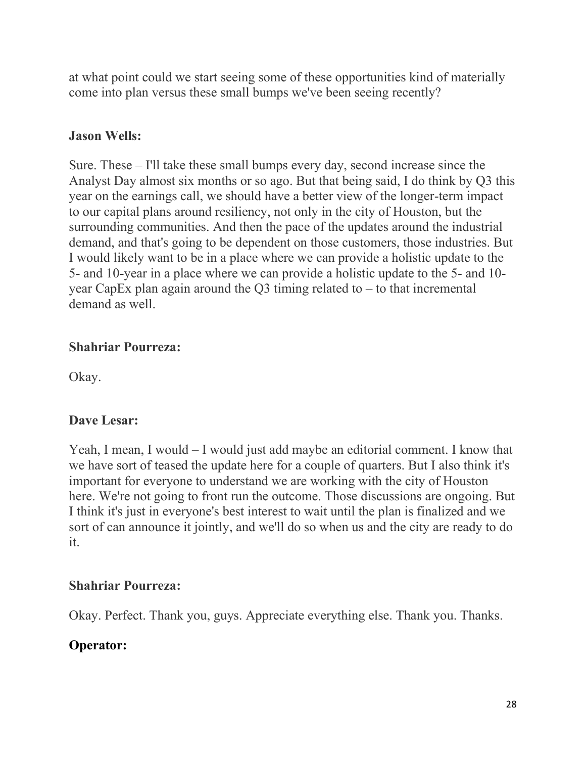at what point could we start seeing some of these opportunities kind of materially come into plan versus these small bumps we've been seeing recently?

## **Jason Wells:**

Sure. These – I'll take these small bumps every day, second increase since the Analyst Day almost six months or so ago. But that being said, I do think by Q3 this year on the earnings call, we should have a better view of the longer-term impact to our capital plans around resiliency, not only in the city of Houston, but the surrounding communities. And then the pace of the updates around the industrial demand, and that's going to be dependent on those customers, those industries. But I would likely want to be in a place where we can provide a holistic update to the 5- and 10-year in a place where we can provide a holistic update to the 5- and 10 year CapEx plan again around the Q3 timing related to – to that incremental demand as well.

## **Shahriar Pourreza:**

Okay.

# **Dave Lesar:**

Yeah, I mean, I would – I would just add maybe an editorial comment. I know that we have sort of teased the update here for a couple of quarters. But I also think it's important for everyone to understand we are working with the city of Houston here. We're not going to front run the outcome. Those discussions are ongoing. But I think it's just in everyone's best interest to wait until the plan is finalized and we sort of can announce it jointly, and we'll do so when us and the city are ready to do it.

### **Shahriar Pourreza:**

Okay. Perfect. Thank you, guys. Appreciate everything else. Thank you. Thanks.

# **Operator:**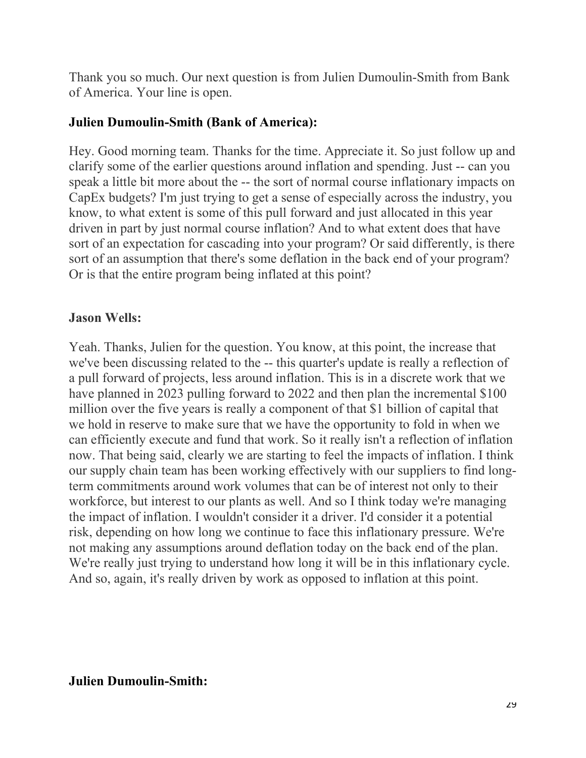Thank you so much. Our next question is from Julien Dumoulin-Smith from Bank of America. Your line is open.

#### **Julien Dumoulin-Smith (Bank of America):**

Hey. Good morning team. Thanks for the time. Appreciate it. So just follow up and clarify some of the earlier questions around inflation and spending. Just -- can you speak a little bit more about the -- the sort of normal course inflationary impacts on CapEx budgets? I'm just trying to get a sense of especially across the industry, you know, to what extent is some of this pull forward and just allocated in this year driven in part by just normal course inflation? And to what extent does that have sort of an expectation for cascading into your program? Or said differently, is there sort of an assumption that there's some deflation in the back end of your program? Or is that the entire program being inflated at this point?

#### **Jason Wells:**

Yeah. Thanks, Julien for the question. You know, at this point, the increase that we've been discussing related to the -- this quarter's update is really a reflection of a pull forward of projects, less around inflation. This is in a discrete work that we have planned in 2023 pulling forward to 2022 and then plan the incremental \$100 million over the five years is really a component of that \$1 billion of capital that we hold in reserve to make sure that we have the opportunity to fold in when we can efficiently execute and fund that work. So it really isn't a reflection of inflation now. That being said, clearly we are starting to feel the impacts of inflation. I think our supply chain team has been working effectively with our suppliers to find longterm commitments around work volumes that can be of interest not only to their workforce, but interest to our plants as well. And so I think today we're managing the impact of inflation. I wouldn't consider it a driver. I'd consider it a potential risk, depending on how long we continue to face this inflationary pressure. We're not making any assumptions around deflation today on the back end of the plan. We're really just trying to understand how long it will be in this inflationary cycle. And so, again, it's really driven by work as opposed to inflation at this point.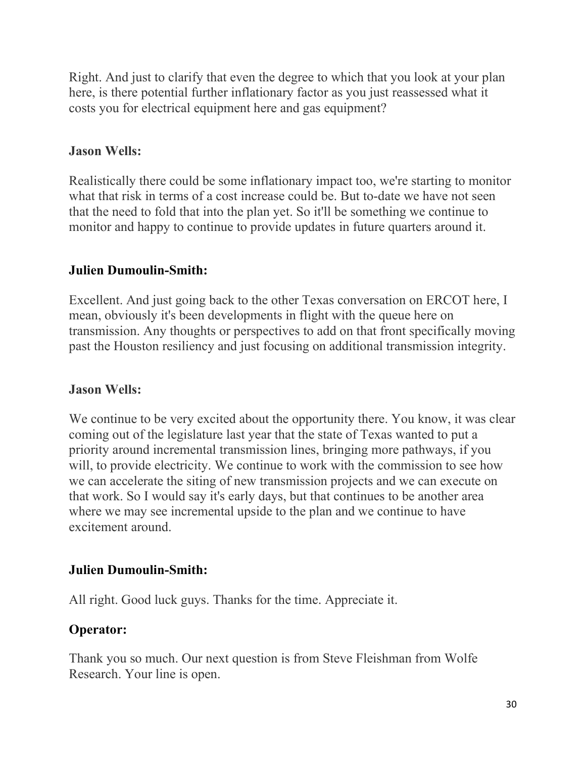Right. And just to clarify that even the degree to which that you look at your plan here, is there potential further inflationary factor as you just reassessed what it costs you for electrical equipment here and gas equipment?

#### **Jason Wells:**

Realistically there could be some inflationary impact too, we're starting to monitor what that risk in terms of a cost increase could be. But to-date we have not seen that the need to fold that into the plan yet. So it'll be something we continue to monitor and happy to continue to provide updates in future quarters around it.

### **Julien Dumoulin-Smith:**

Excellent. And just going back to the other Texas conversation on ERCOT here, I mean, obviously it's been developments in flight with the queue here on transmission. Any thoughts or perspectives to add on that front specifically moving past the Houston resiliency and just focusing on additional transmission integrity.

### **Jason Wells:**

We continue to be very excited about the opportunity there. You know, it was clear coming out of the legislature last year that the state of Texas wanted to put a priority around incremental transmission lines, bringing more pathways, if you will, to provide electricity. We continue to work with the commission to see how we can accelerate the siting of new transmission projects and we can execute on that work. So I would say it's early days, but that continues to be another area where we may see incremental upside to the plan and we continue to have excitement around.

#### **Julien Dumoulin-Smith:**

All right. Good luck guys. Thanks for the time. Appreciate it.

### **Operator:**

Thank you so much. Our next question is from Steve Fleishman from Wolfe Research. Your line is open.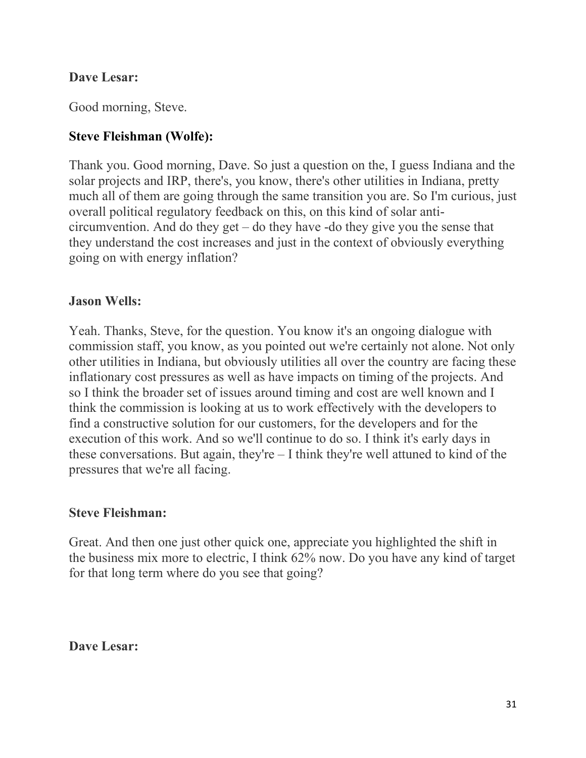#### **Dave Lesar:**

Good morning, Steve.

#### **Steve Fleishman (Wolfe):**

Thank you. Good morning, Dave. So just a question on the, I guess Indiana and the solar projects and IRP, there's, you know, there's other utilities in Indiana, pretty much all of them are going through the same transition you are. So I'm curious, just overall political regulatory feedback on this, on this kind of solar anticircumvention. And do they get  $-$  do they have  $-$ do they give you the sense that they understand the cost increases and just in the context of obviously everything going on with energy inflation?

#### **Jason Wells:**

Yeah. Thanks, Steve, for the question. You know it's an ongoing dialogue with commission staff, you know, as you pointed out we're certainly not alone. Not only other utilities in Indiana, but obviously utilities all over the country are facing these inflationary cost pressures as well as have impacts on timing of the projects. And so I think the broader set of issues around timing and cost are well known and I think the commission is looking at us to work effectively with the developers to find a constructive solution for our customers, for the developers and for the execution of this work. And so we'll continue to do so. I think it's early days in these conversations. But again, they're – I think they're well attuned to kind of the pressures that we're all facing.

#### **Steve Fleishman:**

Great. And then one just other quick one, appreciate you highlighted the shift in the business mix more to electric, I think 62% now. Do you have any kind of target for that long term where do you see that going?

#### **Dave Lesar:**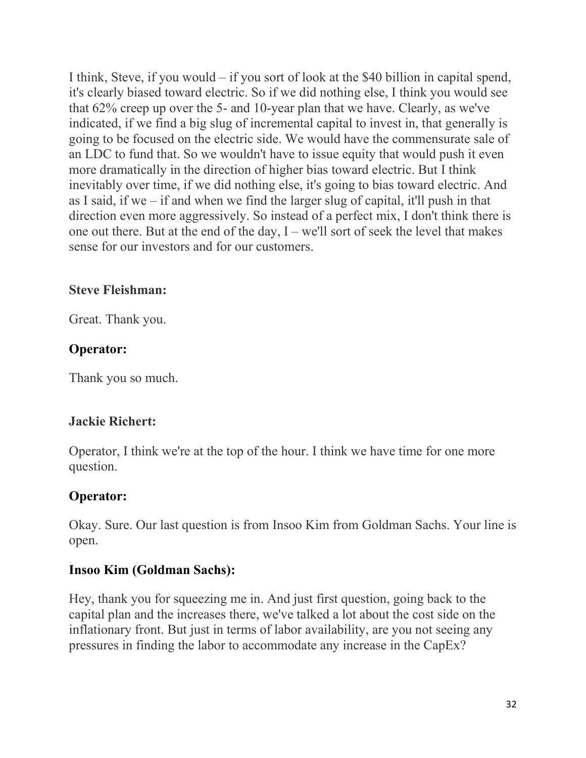I think, Steve, if you would – if you sort of look at the \$40 billion in capital spend, it's clearly biased toward electric. So if we did nothing else, I think you would see that 62% creep up over the 5- and 10-year plan that we have. Clearly, as we've indicated, if we find a big slug of incremental capital to invest in, that generally is going to be focused on the electric side. We would have the commensurate sale of an LDC to fund that. So we wouldn't have to issue equity that would push it even more dramatically in the direction of higher bias toward electric. But I think inevitably over time, if we did nothing else, it's going to bias toward electric. And as I said, if we – if and when we find the larger slug of capital, it'll push in that direction even more aggressively. So instead of a perfect mix, I don't think there is one out there. But at the end of the day,  $I - we'll$  sort of seek the level that makes sense for our investors and for our customers.

### **Steve Fleishman:**

Great. Thank you.

# **Operator:**

Thank you so much.

# **Jackie Richert:**

Operator, I think we're at the top of the hour. I think we have time for one more question.

# **Operator:**

Okay. Sure. Our last question is from Insoo Kim from Goldman Sachs. Your line is open.

### **Insoo Kim (Goldman Sachs):**

Hey, thank you for squeezing me in. And just first question, going back to the capital plan and the increases there, we've talked a lot about the cost side on the inflationary front. But just in terms of labor availability, are you not seeing any pressures in finding the labor to accommodate any increase in the CapEx?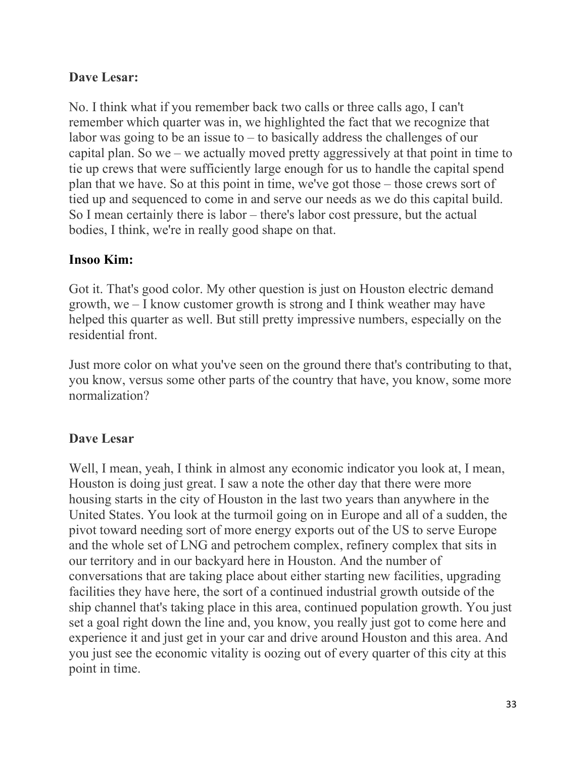### **Dave Lesar:**

No. I think what if you remember back two calls or three calls ago, I can't remember which quarter was in, we highlighted the fact that we recognize that labor was going to be an issue to  $-$  to basically address the challenges of our capital plan. So we – we actually moved pretty aggressively at that point in time to tie up crews that were sufficiently large enough for us to handle the capital spend plan that we have. So at this point in time, we've got those – those crews sort of tied up and sequenced to come in and serve our needs as we do this capital build. So I mean certainly there is labor – there's labor cost pressure, but the actual bodies, I think, we're in really good shape on that.

## **Insoo Kim:**

Got it. That's good color. My other question is just on Houston electric demand growth, we – I know customer growth is strong and I think weather may have helped this quarter as well. But still pretty impressive numbers, especially on the residential front.

Just more color on what you've seen on the ground there that's contributing to that, you know, versus some other parts of the country that have, you know, some more normalization?

# **Dave Lesar**

Well, I mean, yeah, I think in almost any economic indicator you look at, I mean, Houston is doing just great. I saw a note the other day that there were more housing starts in the city of Houston in the last two years than anywhere in the United States. You look at the turmoil going on in Europe and all of a sudden, the pivot toward needing sort of more energy exports out of the US to serve Europe and the whole set of LNG and petrochem complex, refinery complex that sits in our territory and in our backyard here in Houston. And the number of conversations that are taking place about either starting new facilities, upgrading facilities they have here, the sort of a continued industrial growth outside of the ship channel that's taking place in this area, continued population growth. You just set a goal right down the line and, you know, you really just got to come here and experience it and just get in your car and drive around Houston and this area. And you just see the economic vitality is oozing out of every quarter of this city at this point in time.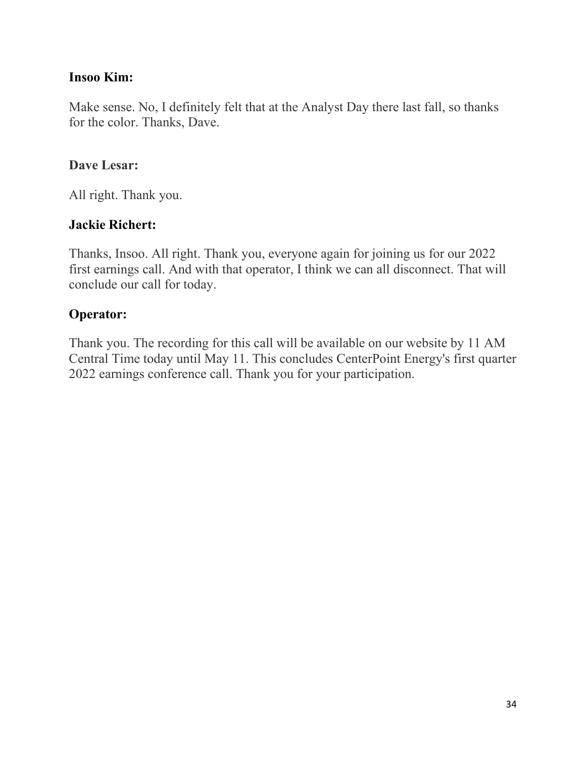#### **Insoo Kim:**

Make sense. No, I definitely felt that at the Analyst Day there last fall, so thanks for the color. Thanks, Dave.

#### **Dave Lesar:**

All right. Thank you.

#### **Jackie Richert:**

Thanks, Insoo. All right. Thank you, everyone again for joining us for our 2022 first earnings call. And with that operator, I think we can all disconnect. That will conclude our call for today.

### **Operator:**

Thank you. The recording for this call will be available on our website by 11 AM Central Time today until May 11. This concludes CenterPoint Energy's first quarter 2022 earnings conference call. Thank you for your participation.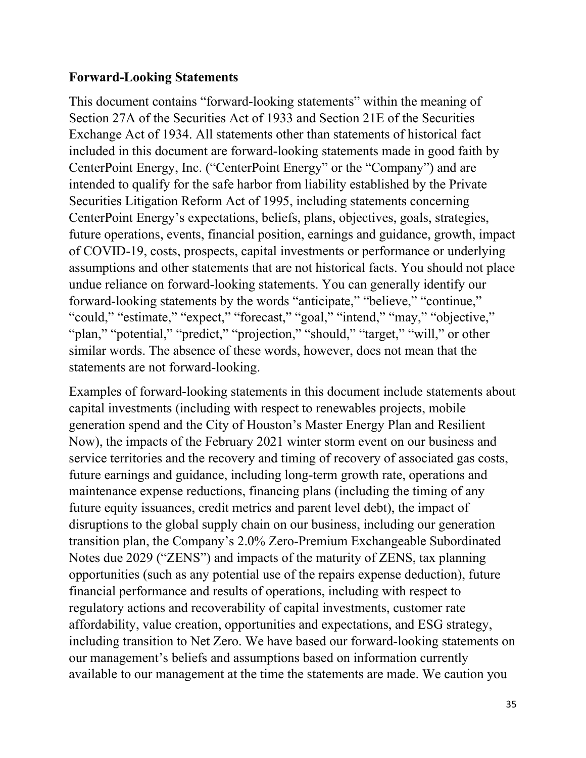#### **Forward-Looking Statements**

This document contains "forward-looking statements" within the meaning of Section 27A of the Securities Act of 1933 and Section 21E of the Securities Exchange Act of 1934. All statements other than statements of historical fact included in this document are forward-looking statements made in good faith by CenterPoint Energy, Inc. ("CenterPoint Energy" or the "Company") and are intended to qualify for the safe harbor from liability established by the Private Securities Litigation Reform Act of 1995, including statements concerning CenterPoint Energy's expectations, beliefs, plans, objectives, goals, strategies, future operations, events, financial position, earnings and guidance, growth, impact of COVID-19, costs, prospects, capital investments or performance or underlying assumptions and other statements that are not historical facts. You should not place undue reliance on forward-looking statements. You can generally identify our forward-looking statements by the words "anticipate," "believe," "continue," "could," "estimate," "expect," "forecast," "goal," "intend," "may," "objective," "plan," "potential," "predict," "projection," "should," "target," "will," or other similar words. The absence of these words, however, does not mean that the statements are not forward-looking.

Examples of forward-looking statements in this document include statements about capital investments (including with respect to renewables projects, mobile generation spend and the City of Houston's Master Energy Plan and Resilient Now), the impacts of the February 2021 winter storm event on our business and service territories and the recovery and timing of recovery of associated gas costs, future earnings and guidance, including long-term growth rate, operations and maintenance expense reductions, financing plans (including the timing of any future equity issuances, credit metrics and parent level debt), the impact of disruptions to the global supply chain on our business, including our generation transition plan, the Company's 2.0% Zero-Premium Exchangeable Subordinated Notes due 2029 ("ZENS") and impacts of the maturity of ZENS, tax planning opportunities (such as any potential use of the repairs expense deduction), future financial performance and results of operations, including with respect to regulatory actions and recoverability of capital investments, customer rate affordability, value creation, opportunities and expectations, and ESG strategy, including transition to Net Zero. We have based our forward-looking statements on our management's beliefs and assumptions based on information currently available to our management at the time the statements are made. We caution you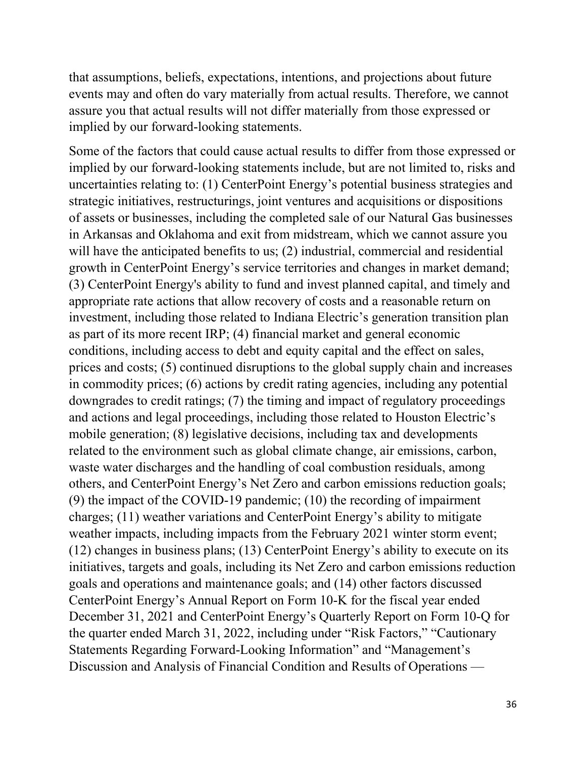that assumptions, beliefs, expectations, intentions, and projections about future events may and often do vary materially from actual results. Therefore, we cannot assure you that actual results will not differ materially from those expressed or implied by our forward-looking statements.

Some of the factors that could cause actual results to differ from those expressed or implied by our forward-looking statements include, but are not limited to, risks and uncertainties relating to: (1) CenterPoint Energy's potential business strategies and strategic initiatives, restructurings, joint ventures and acquisitions or dispositions of assets or businesses, including the completed sale of our Natural Gas businesses in Arkansas and Oklahoma and exit from midstream, which we cannot assure you will have the anticipated benefits to us; (2) industrial, commercial and residential growth in CenterPoint Energy's service territories and changes in market demand; (3) CenterPoint Energy's ability to fund and invest planned capital, and timely and appropriate rate actions that allow recovery of costs and a reasonable return on investment, including those related to Indiana Electric's generation transition plan as part of its more recent IRP; (4) financial market and general economic conditions, including access to debt and equity capital and the effect on sales, prices and costs; (5) continued disruptions to the global supply chain and increases in commodity prices; (6) actions by credit rating agencies, including any potential downgrades to credit ratings; (7) the timing and impact of regulatory proceedings and actions and legal proceedings, including those related to Houston Electric's mobile generation; (8) legislative decisions, including tax and developments related to the environment such as global climate change, air emissions, carbon, waste water discharges and the handling of coal combustion residuals, among others, and CenterPoint Energy's Net Zero and carbon emissions reduction goals; (9) the impact of the COVID-19 pandemic; (10) the recording of impairment charges; (11) weather variations and CenterPoint Energy's ability to mitigate weather impacts, including impacts from the February 2021 winter storm event; (12) changes in business plans; (13) CenterPoint Energy's ability to execute on its initiatives, targets and goals, including its Net Zero and carbon emissions reduction goals and operations and maintenance goals; and (14) other factors discussed CenterPoint Energy's Annual Report on Form 10-K for the fiscal year ended December 31, 2021 and CenterPoint Energy's Quarterly Report on Form 10-Q for the quarter ended March 31, 2022, including under "Risk Factors," "Cautionary Statements Regarding Forward-Looking Information" and "Management's Discussion and Analysis of Financial Condition and Results of Operations —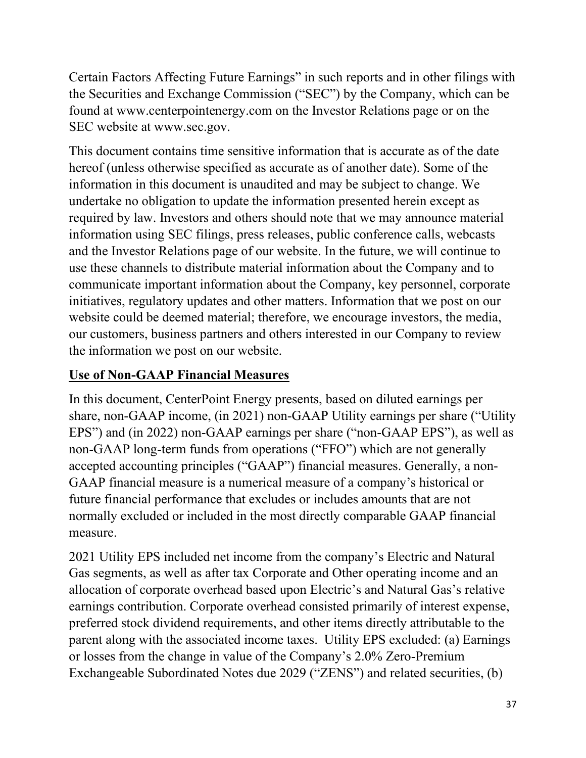Certain Factors Affecting Future Earnings" in such reports and in other filings with the Securities and Exchange Commission ("SEC") by the Company, which can be found at www.centerpointenergy.com on the Investor Relations page or on the SEC website at www.sec.gov.

This document contains time sensitive information that is accurate as of the date hereof (unless otherwise specified as accurate as of another date). Some of the information in this document is unaudited and may be subject to change. We undertake no obligation to update the information presented herein except as required by law. Investors and others should note that we may announce material information using SEC filings, press releases, public conference calls, webcasts and the Investor Relations page of our website. In the future, we will continue to use these channels to distribute material information about the Company and to communicate important information about the Company, key personnel, corporate initiatives, regulatory updates and other matters. Information that we post on our website could be deemed material; therefore, we encourage investors, the media, our customers, business partners and others interested in our Company to review the information we post on our website.

# **Use of Non-GAAP Financial Measures**

In this document, CenterPoint Energy presents, based on diluted earnings per share, non-GAAP income, (in 2021) non-GAAP Utility earnings per share ("Utility EPS") and (in 2022) non-GAAP earnings per share ("non-GAAP EPS"), as well as non-GAAP long-term funds from operations ("FFO") which are not generally accepted accounting principles ("GAAP") financial measures. Generally, a non-GAAP financial measure is a numerical measure of a company's historical or future financial performance that excludes or includes amounts that are not normally excluded or included in the most directly comparable GAAP financial measure.

2021 Utility EPS included net income from the company's Electric and Natural Gas segments, as well as after tax Corporate and Other operating income and an allocation of corporate overhead based upon Electric's and Natural Gas's relative earnings contribution. Corporate overhead consisted primarily of interest expense, preferred stock dividend requirements, and other items directly attributable to the parent along with the associated income taxes. Utility EPS excluded: (a) Earnings or losses from the change in value of the Company's 2.0% Zero-Premium Exchangeable Subordinated Notes due 2029 ("ZENS") and related securities, (b)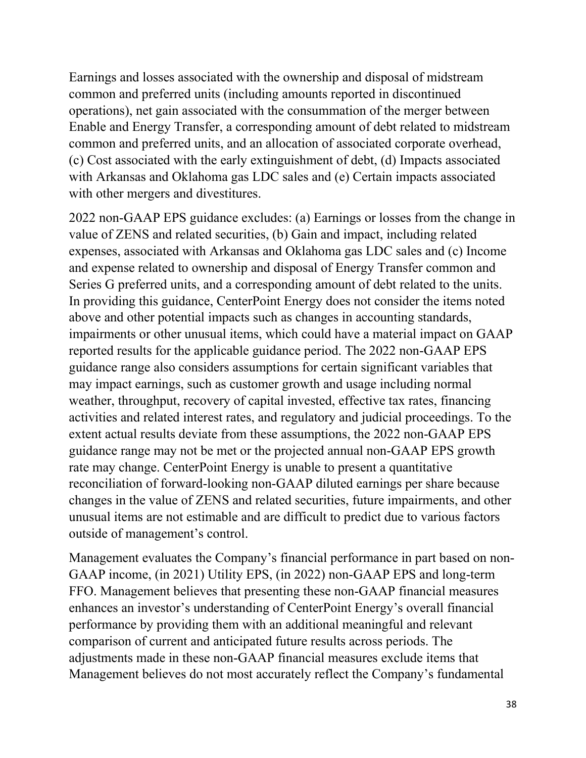Earnings and losses associated with the ownership and disposal of midstream common and preferred units (including amounts reported in discontinued operations), net gain associated with the consummation of the merger between Enable and Energy Transfer, a corresponding amount of debt related to midstream common and preferred units, and an allocation of associated corporate overhead, (c) Cost associated with the early extinguishment of debt, (d) Impacts associated with Arkansas and Oklahoma gas LDC sales and (e) Certain impacts associated with other mergers and divestitures.

2022 non-GAAP EPS guidance excludes: (a) Earnings or losses from the change in value of ZENS and related securities, (b) Gain and impact, including related expenses, associated with Arkansas and Oklahoma gas LDC sales and (c) Income and expense related to ownership and disposal of Energy Transfer common and Series G preferred units, and a corresponding amount of debt related to the units. In providing this guidance, CenterPoint Energy does not consider the items noted above and other potential impacts such as changes in accounting standards, impairments or other unusual items, which could have a material impact on GAAP reported results for the applicable guidance period. The 2022 non-GAAP EPS guidance range also considers assumptions for certain significant variables that may impact earnings, such as customer growth and usage including normal weather, throughput, recovery of capital invested, effective tax rates, financing activities and related interest rates, and regulatory and judicial proceedings. To the extent actual results deviate from these assumptions, the 2022 non-GAAP EPS guidance range may not be met or the projected annual non-GAAP EPS growth rate may change. CenterPoint Energy is unable to present a quantitative reconciliation of forward-looking non-GAAP diluted earnings per share because changes in the value of ZENS and related securities, future impairments, and other unusual items are not estimable and are difficult to predict due to various factors outside of management's control.

Management evaluates the Company's financial performance in part based on non-GAAP income, (in 2021) Utility EPS, (in 2022) non-GAAP EPS and long-term FFO. Management believes that presenting these non-GAAP financial measures enhances an investor's understanding of CenterPoint Energy's overall financial performance by providing them with an additional meaningful and relevant comparison of current and anticipated future results across periods. The adjustments made in these non-GAAP financial measures exclude items that Management believes do not most accurately reflect the Company's fundamental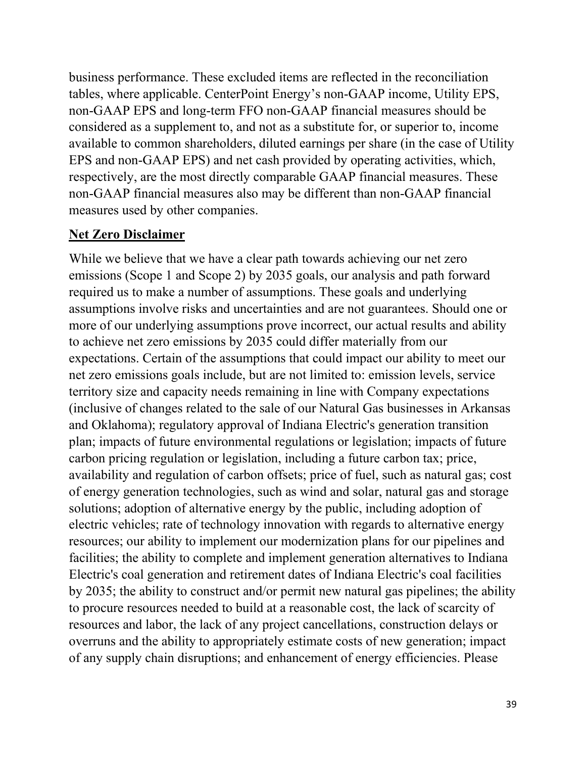business performance. These excluded items are reflected in the reconciliation tables, where applicable. CenterPoint Energy's non-GAAP income, Utility EPS, non-GAAP EPS and long-term FFO non-GAAP financial measures should be considered as a supplement to, and not as a substitute for, or superior to, income available to common shareholders, diluted earnings per share (in the case of Utility EPS and non-GAAP EPS) and net cash provided by operating activities, which, respectively, are the most directly comparable GAAP financial measures. These non-GAAP financial measures also may be different than non-GAAP financial measures used by other companies.

#### **Net Zero Disclaimer**

While we believe that we have a clear path towards achieving our net zero emissions (Scope 1 and Scope 2) by 2035 goals, our analysis and path forward required us to make a number of assumptions. These goals and underlying assumptions involve risks and uncertainties and are not guarantees. Should one or more of our underlying assumptions prove incorrect, our actual results and ability to achieve net zero emissions by 2035 could differ materially from our expectations. Certain of the assumptions that could impact our ability to meet our net zero emissions goals include, but are not limited to: emission levels, service territory size and capacity needs remaining in line with Company expectations (inclusive of changes related to the sale of our Natural Gas businesses in Arkansas and Oklahoma); regulatory approval of Indiana Electric's generation transition plan; impacts of future environmental regulations or legislation; impacts of future carbon pricing regulation or legislation, including a future carbon tax; price, availability and regulation of carbon offsets; price of fuel, such as natural gas; cost of energy generation technologies, such as wind and solar, natural gas and storage solutions; adoption of alternative energy by the public, including adoption of electric vehicles; rate of technology innovation with regards to alternative energy resources; our ability to implement our modernization plans for our pipelines and facilities; the ability to complete and implement generation alternatives to Indiana Electric's coal generation and retirement dates of Indiana Electric's coal facilities by 2035; the ability to construct and/or permit new natural gas pipelines; the ability to procure resources needed to build at a reasonable cost, the lack of scarcity of resources and labor, the lack of any project cancellations, construction delays or overruns and the ability to appropriately estimate costs of new generation; impact of any supply chain disruptions; and enhancement of energy efficiencies. Please